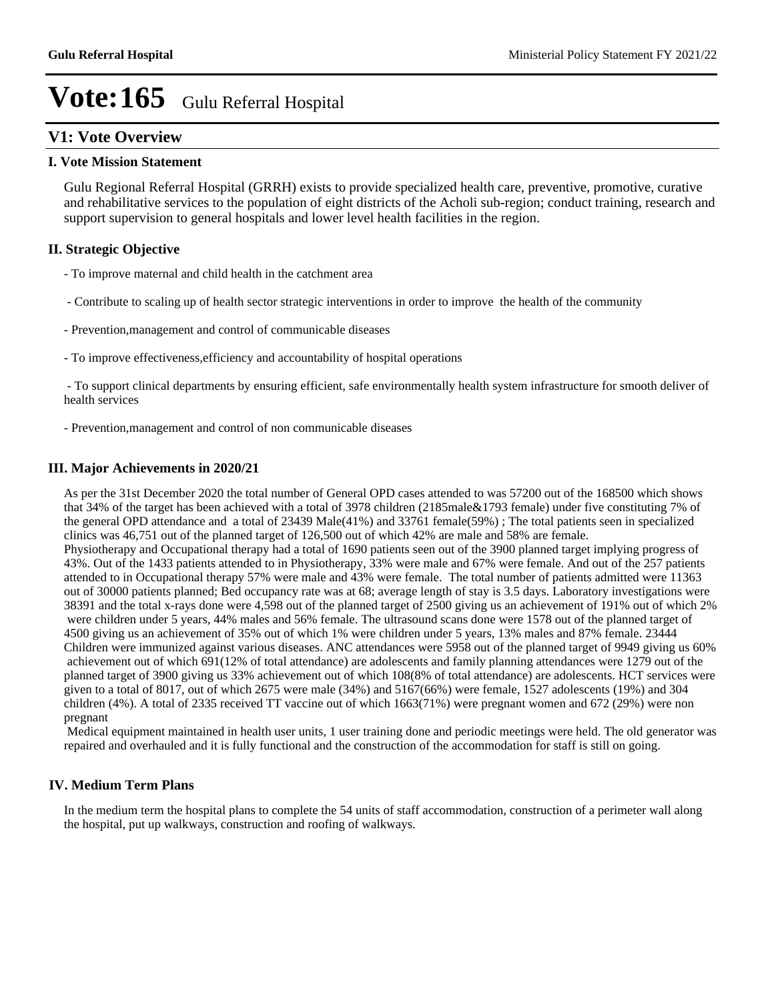## **V1: Vote Overview**

#### **I. Vote Mission Statement**

Gulu Regional Referral Hospital (GRRH) exists to provide specialized health care, preventive, promotive, curative and rehabilitative services to the population of eight districts of the Acholi sub-region; conduct training, research and support supervision to general hospitals and lower level health facilities in the region.

## **II. Strategic Objective**

- To improve maternal and child health in the catchment area
- Contribute to scaling up of health sector strategic interventions in order to improve the health of the community
- Prevention,management and control of communicable diseases
- To improve effectiveness,efficiency and accountability of hospital operations

 - To support clinical departments by ensuring efficient, safe environmentally health system infrastructure for smooth deliver of health services

- Prevention,management and control of non communicable diseases

### **III. Major Achievements in 2020/21**

As per the 31st December 2020 the total number of General OPD cases attended to was 57200 out of the 168500 which shows that 34% of the target has been achieved with a total of 3978 children (2185male&1793 female) under five constituting 7% of the general OPD attendance and a total of 23439 Male(41%) and 33761 female(59%) ; The total patients seen in specialized clinics was 46,751 out of the planned target of 126,500 out of which 42% are male and 58% are female. Physiotherapy and Occupational therapy had a total of 1690 patients seen out of the 3900 planned target implying progress of 43%. Out of the 1433 patients attended to in Physiotherapy, 33% were male and 67% were female. And out of the 257 patients attended to in Occupational therapy 57% were male and 43% were female. The total number of patients admitted were 11363 out of 30000 patients planned; Bed occupancy rate was at 68; average length of stay is 3.5 days. Laboratory investigations were 38391 and the total x-rays done were 4,598 out of the planned target of 2500 giving us an achievement of 191% out of which 2% were children under 5 years, 44% males and 56% female. The ultrasound scans done were 1578 out of the planned target of 4500 giving us an achievement of 35% out of which 1% were children under 5 years, 13% males and 87% female. 23444 Children were immunized against various diseases. ANC attendances were 5958 out of the planned target of 9949 giving us 60% achievement out of which 691(12% of total attendance) are adolescents and family planning attendances were 1279 out of the planned target of 3900 giving us 33% achievement out of which 108(8% of total attendance) are adolescents. HCT services were given to a total of 8017, out of which 2675 were male (34%) and 5167(66%) were female, 1527 adolescents (19%) and 304 children (4%). A total of 2335 received TT vaccine out of which 1663(71%) were pregnant women and 672 (29%) were non pregnant

 Medical equipment maintained in health user units, 1 user training done and periodic meetings were held. The old generator was repaired and overhauled and it is fully functional and the construction of the accommodation for staff is still on going.

## **IV. Medium Term Plans**

In the medium term the hospital plans to complete the 54 units of staff accommodation, construction of a perimeter wall along the hospital, put up walkways, construction and roofing of walkways.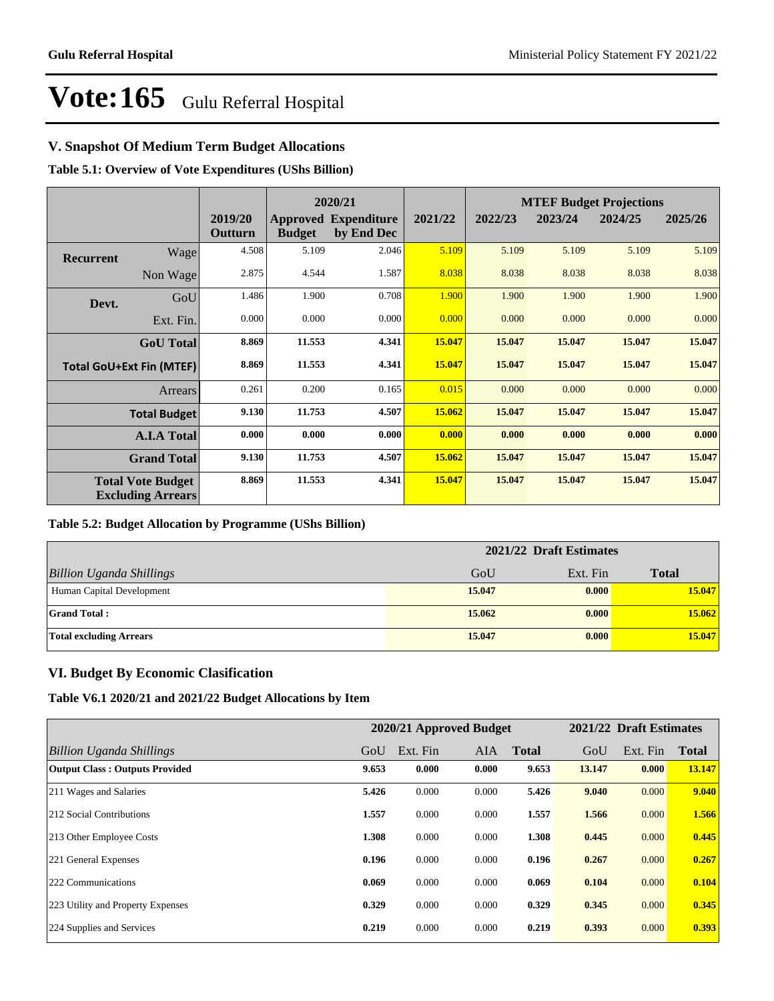## **V. Snapshot Of Medium Term Budget Allocations**

**Table 5.1: Overview of Vote Expenditures (UShs Billion)**

|                  |                                                      |                    | 2020/21       |                                           |         | <b>MTEF Budget Projections</b> |         |         |         |
|------------------|------------------------------------------------------|--------------------|---------------|-------------------------------------------|---------|--------------------------------|---------|---------|---------|
|                  |                                                      | 2019/20<br>Outturn | <b>Budget</b> | <b>Approved Expenditure</b><br>by End Dec | 2021/22 | 2022/23                        | 2023/24 | 2024/25 | 2025/26 |
| <b>Recurrent</b> | Wage                                                 | 4.508              | 5.109         | 2.046                                     | 5.109   | 5.109                          | 5.109   | 5.109   | 5.109   |
|                  | Non Wage                                             | 2.875              | 4.544         | 1.587                                     | 8.038   | 8.038                          | 8.038   | 8.038   | 8.038   |
| Devt.            | GoU                                                  | 1.486              | 1.900         | 0.708                                     | 1.900   | 1.900                          | 1.900   | 1.900   | 1.900   |
|                  | Ext. Fin.                                            | 0.000              | 0.000         | 0.000                                     | 0.000   | 0.000                          | 0.000   | 0.000   | 0.000   |
|                  | <b>GoU</b> Total                                     | 8.869              | 11.553        | 4.341                                     | 15.047  | 15.047                         | 15.047  | 15.047  | 15.047  |
|                  | <b>Total GoU+Ext Fin (MTEF)</b>                      | 8.869              | 11.553        | 4.341                                     | 15.047  | 15.047                         | 15.047  | 15.047  | 15.047  |
|                  | Arrears                                              | 0.261              | 0.200         | 0.165                                     | 0.015   | 0.000                          | 0.000   | 0.000   | 0.000   |
|                  | <b>Total Budget</b>                                  | 9.130              | 11.753        | 4.507                                     | 15.062  | 15.047                         | 15.047  | 15.047  | 15.047  |
|                  | <b>A.I.A Total</b>                                   | 0.000              | 0.000         | 0.000                                     | 0.000   | 0.000                          | 0.000   | 0.000   | 0.000   |
|                  | <b>Grand Total</b>                                   | 9.130              | 11.753        | 4.507                                     | 15.062  | 15.047                         | 15.047  | 15.047  | 15.047  |
|                  | <b>Total Vote Budget</b><br><b>Excluding Arrears</b> | 8.869              | 11.553        | 4.341                                     | 15.047  | 15.047                         | 15.047  | 15.047  | 15.047  |

## **Table 5.2: Budget Allocation by Programme (UShs Billion)**

|                                 | 2021/22 Draft Estimates |          |              |  |  |
|---------------------------------|-------------------------|----------|--------------|--|--|
| <b>Billion Uganda Shillings</b> | GoU                     | Ext. Fin | <b>Total</b> |  |  |
| Human Capital Development       | 15.047                  | 0.000    | 15.047       |  |  |
| <b>Grand Total:</b>             | 15.062                  | 0.000    | 15.062       |  |  |
| <b>Total excluding Arrears</b>  | 15.047                  | 0.000    | 15.047       |  |  |

## **VI. Budget By Economic Clasification**

**Table V6.1 2020/21 and 2021/22 Budget Allocations by Item**

|                                       |       | 2020/21 Approved Budget |       |              |        | 2021/22 Draft Estimates |              |
|---------------------------------------|-------|-------------------------|-------|--------------|--------|-------------------------|--------------|
| Billion Uganda Shillings              | GoU   | Ext. Fin                | AIA   | <b>Total</b> | GoU    | Ext. Fin                | <b>Total</b> |
| <b>Output Class: Outputs Provided</b> | 9.653 | 0.000                   | 0.000 | 9.653        | 13.147 | 0.000                   | 13.147       |
| 211 Wages and Salaries                | 5.426 | 0.000                   | 0.000 | 5.426        | 9.040  | 0.000                   | 9.040        |
| 212 Social Contributions              | 1.557 | 0.000                   | 0.000 | 1.557        | 1.566  | 0.000                   | 1.566        |
| 213 Other Employee Costs              | 1.308 | 0.000                   | 0.000 | 1.308        | 0.445  | 0.000                   | 0.445        |
| 221 General Expenses                  | 0.196 | 0.000                   | 0.000 | 0.196        | 0.267  | 0.000                   | 0.267        |
| 222 Communications                    | 0.069 | 0.000                   | 0.000 | 0.069        | 0.104  | 0.000                   | 0.104        |
| 223 Utility and Property Expenses     | 0.329 | 0.000                   | 0.000 | 0.329        | 0.345  | 0.000                   | 0.345        |
| 224 Supplies and Services             | 0.219 | 0.000                   | 0.000 | 0.219        | 0.393  | 0.000                   | 0.393        |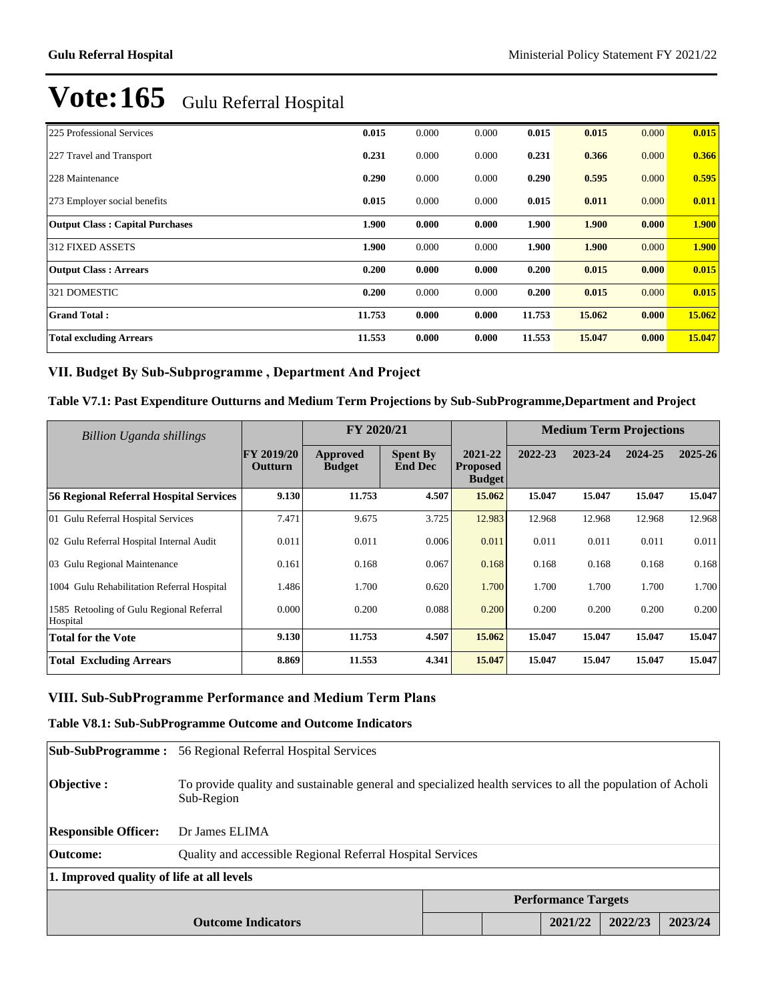| 225 Professional Services              | 0.015  | 0.000 | 0.000 | 0.015  | 0.015  | 0.000 | 0.015  |
|----------------------------------------|--------|-------|-------|--------|--------|-------|--------|
| 227 Travel and Transport               | 0.231  | 0.000 | 0.000 | 0.231  | 0.366  | 0.000 | 0.366  |
| 228 Maintenance                        | 0.290  | 0.000 | 0.000 | 0.290  | 0.595  | 0.000 | 0.595  |
| 273 Employer social benefits           | 0.015  | 0.000 | 0.000 | 0.015  | 0.011  | 0.000 | 0.011  |
| <b>Output Class: Capital Purchases</b> | 1.900  | 0.000 | 0.000 | 1.900  | 1.900  | 0.000 | 1.900  |
| <b>312 FIXED ASSETS</b>                | 1.900  | 0.000 | 0.000 | 1.900  | 1.900  | 0.000 | 1.900  |
| <b>Output Class: Arrears</b>           | 0.200  | 0.000 | 0.000 | 0.200  | 0.015  | 0.000 | 0.015  |
| 321 DOMESTIC                           | 0.200  | 0.000 | 0.000 | 0.200  | 0.015  | 0.000 | 0.015  |
| <b>Grand Total:</b>                    | 11.753 | 0.000 | 0.000 | 11.753 | 15.062 | 0.000 | 15.062 |
| <b>Total excluding Arrears</b>         | 11.553 | 0.000 | 0.000 | 11.553 | 15.047 | 0.000 | 15.047 |

## VII. Budget By Sub-Subprogramme, Department And Project

### **Table V7.1: Past Expenditure Outturns and Medium Term Projections by Sub-SubProgramme,Department and Project**

| <b>Billion Uganda shillings</b>                      |                                     | FY 2020/21                       |                                   |                                             | <b>Medium Term Projections</b> |         |         |         |
|------------------------------------------------------|-------------------------------------|----------------------------------|-----------------------------------|---------------------------------------------|--------------------------------|---------|---------|---------|
|                                                      | <b>FY 2019/20</b><br><b>Outturn</b> | <b>Approved</b><br><b>Budget</b> | <b>Spent By</b><br><b>End Dec</b> | 2021-22<br><b>Proposed</b><br><b>Budget</b> | 2022-23                        | 2023-24 | 2024-25 | 2025-26 |
| 56 Regional Referral Hospital Services               | 9.130                               | 11.753                           | 4.507                             | 15.062                                      | 15.047                         | 15.047  | 15.047  | 15.047  |
| 01 Gulu Referral Hospital Services                   | 7.471                               | 9.675                            | 3.725                             | 12.983                                      | 12.968                         | 12.968  | 12.968  | 12.968  |
| 02 Gulu Referral Hospital Internal Audit             | 0.011                               | 0.011                            | 0.006                             | 0.011                                       | 0.011                          | 0.011   | 0.011   | 0.011   |
| 03 Gulu Regional Maintenance                         | 0.161                               | 0.168                            | 0.067                             | 0.168                                       | 0.168                          | 0.168   | 0.168   | 0.168   |
| 1004 Gulu Rehabilitation Referral Hospital           | 1.486                               | 1.700                            | 0.620                             | 1.700                                       | 1.700                          | 1.700   | 1.700   | 1.700   |
| 1585 Retooling of Gulu Regional Referral<br>Hospital | 0.000                               | 0.200                            | 0.088                             | 0.200                                       | 0.200                          | 0.200   | 0.200   | 0.200   |
| <b>Total for the Vote</b>                            | 9.130                               | 11.753                           | 4.507                             | 15.062                                      | 15.047                         | 15.047  | 15.047  | 15.047  |
| <b>Total Excluding Arrears</b>                       | 8.869                               | 11.553                           | 4.341                             | 15.047                                      | 15.047                         | 15.047  | 15.047  | 15.047  |

## **VIII. Sub-SubProgramme Performance and Medium Term Plans**

## **Table V8.1: Sub-SubProgramme Outcome and Outcome Indicators**

| <b>Sub-SubProgramme:</b>                  | 56 Regional Referral Hospital Services                                                                                   |  |  |         |         |         |  |  |
|-------------------------------------------|--------------------------------------------------------------------------------------------------------------------------|--|--|---------|---------|---------|--|--|
| Objective :                               | To provide quality and sustainable general and specialized health services to all the population of Acholi<br>Sub-Region |  |  |         |         |         |  |  |
| <b>Responsible Officer:</b>               | Dr James ELIMA                                                                                                           |  |  |         |         |         |  |  |
| Outcome:                                  | Quality and accessible Regional Referral Hospital Services                                                               |  |  |         |         |         |  |  |
| 1. Improved quality of life at all levels |                                                                                                                          |  |  |         |         |         |  |  |
| <b>Performance Targets</b>                |                                                                                                                          |  |  |         |         |         |  |  |
| <b>Outcome Indicators</b>                 |                                                                                                                          |  |  | 2021/22 | 2022/23 | 2023/24 |  |  |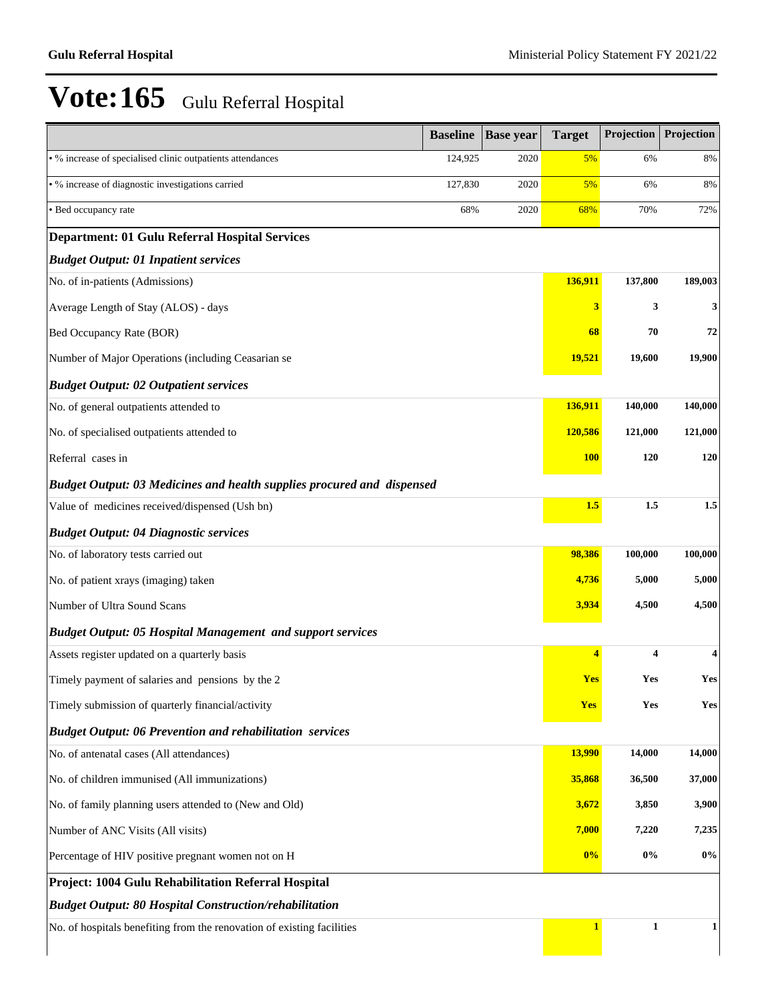|                                                                        | <b>Baseline</b> | <b>Base year</b> | <b>Target</b> | Projection   | Projection |
|------------------------------------------------------------------------|-----------------|------------------|---------------|--------------|------------|
| • % increase of specialised clinic outpatients attendances             | 124,925         | 2020             | 5%            | 6%           | 8%         |
| · % increase of diagnostic investigations carried                      | 127,830         | 2020             | 5%            | 6%           | 8%         |
| • Bed occupancy rate                                                   | 68%             | 2020             | 68%           | 70%          | 72%        |
| <b>Department: 01 Gulu Referral Hospital Services</b>                  |                 |                  |               |              |            |
| <b>Budget Output: 01 Inpatient services</b>                            |                 |                  |               |              |            |
| No. of in-patients (Admissions)                                        |                 |                  | 136,911       | 137,800      | 189,003    |
| Average Length of Stay (ALOS) - days                                   |                 |                  | 3             | 3            | 3          |
| Bed Occupancy Rate (BOR)                                               |                 |                  | 68            | 70           | 72         |
| Number of Major Operations (including Ceasarian se                     |                 |                  | <b>19,521</b> | 19,600       | 19,900     |
| <b>Budget Output: 02 Outpatient services</b>                           |                 |                  |               |              |            |
| No. of general outpatients attended to                                 |                 |                  | 136,911       | 140,000      | 140,000    |
| No. of specialised outpatients attended to                             |                 |                  | 120,586       | 121,000      | 121,000    |
| Referral cases in                                                      |                 |                  | <b>100</b>    | 120          | 120        |
| Budget Output: 03 Medicines and health supplies procured and dispensed |                 |                  |               |              |            |
| Value of medicines received/dispensed (Ush bn)                         |                 |                  | 1.5           | 1.5          | 1.5        |
| <b>Budget Output: 04 Diagnostic services</b>                           |                 |                  |               |              |            |
| No. of laboratory tests carried out                                    |                 |                  | 98,386        | 100,000      | 100,000    |
| No. of patient xrays (imaging) taken                                   |                 |                  | 4,736         | 5,000        | 5,000      |
| Number of Ultra Sound Scans                                            |                 |                  | 3,934         | 4,500        | 4,500      |
| <b>Budget Output: 05 Hospital Management and support services</b>      |                 |                  |               |              |            |
| Assets register updated on a quarterly basis                           |                 |                  | 4             | 4            | 4          |
| Timely payment of salaries and pensions by the 2                       |                 |                  | <b>Yes</b>    | Yes          | Yes        |
| Timely submission of quarterly financial/activity                      |                 |                  | Yes           | Yes          | Yes        |
| <b>Budget Output: 06 Prevention and rehabilitation services</b>        |                 |                  |               |              |            |
| No. of antenatal cases (All attendances)                               |                 |                  | 13,990        | 14,000       | 14,000     |
| No. of children immunised (All immunizations)                          |                 |                  | 35,868        | 36,500       | 37,000     |
| No. of family planning users attended to (New and Old)                 |                 |                  | 3,672         | 3,850        | 3,900      |
| Number of ANC Visits (All visits)                                      |                 |                  | 7,000         | 7,220        | 7,235      |
| Percentage of HIV positive pregnant women not on H                     |                 |                  | 0%            | $0\%$        | $0\%$      |
| Project: 1004 Gulu Rehabilitation Referral Hospital                    |                 |                  |               |              |            |
| <b>Budget Output: 80 Hospital Construction/rehabilitation</b>          |                 |                  |               |              |            |
| No. of hospitals benefiting from the renovation of existing facilities |                 |                  | $\mathbf{1}$  | $\mathbf{1}$ | 1          |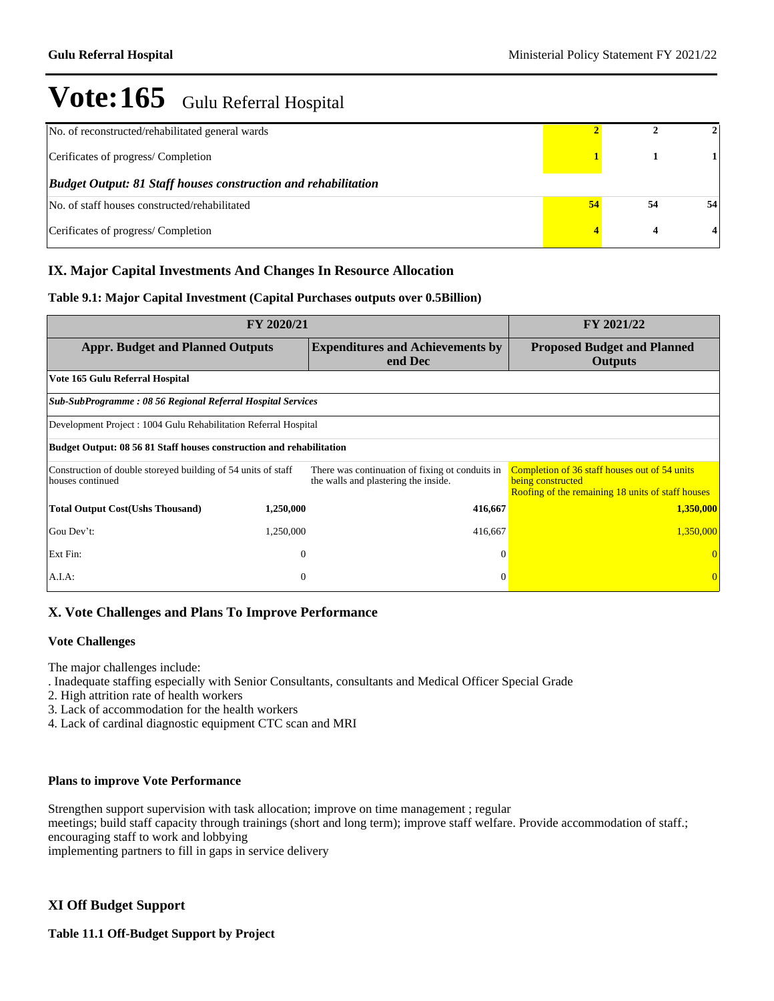| No. of reconstructed/rehabilitated general wards                      |    |    |    |
|-----------------------------------------------------------------------|----|----|----|
| Cerificates of progress/Completion                                    |    |    |    |
| <b>Budget Output: 81 Staff houses construction and rehabilitation</b> |    |    |    |
| No. of staff houses constructed/rehabilitated                         | 54 | 54 | 54 |
| Cerificates of progress/Completion                                    |    |    |    |

## **IX. Major Capital Investments And Changes In Resource Allocation**

## **Table 9.1: Major Capital Investment (Capital Purchases outputs over 0.5Billion)**

|                                                                                   | FY 2021/22   |                                                                                         |                                                                                                                         |  |  |  |  |  |  |
|-----------------------------------------------------------------------------------|--------------|-----------------------------------------------------------------------------------------|-------------------------------------------------------------------------------------------------------------------------|--|--|--|--|--|--|
| <b>Appr. Budget and Planned Outputs</b>                                           |              | <b>Expenditures and Achievements by</b><br>end Dec                                      | <b>Proposed Budget and Planned</b><br><b>Outputs</b>                                                                    |  |  |  |  |  |  |
| Vote 165 Gulu Referral Hospital                                                   |              |                                                                                         |                                                                                                                         |  |  |  |  |  |  |
| Sub-SubProgramme: 08 56 Regional Referral Hospital Services                       |              |                                                                                         |                                                                                                                         |  |  |  |  |  |  |
| Development Project : 1004 Gulu Rehabilitation Referral Hospital                  |              |                                                                                         |                                                                                                                         |  |  |  |  |  |  |
| Budget Output: 08 56 81 Staff houses construction and rehabilitation              |              |                                                                                         |                                                                                                                         |  |  |  |  |  |  |
| Construction of double storeyed building of 54 units of staff<br>houses continued |              | There was continuation of fixing ot conduits in<br>the walls and plastering the inside. | Completion of 36 staff houses out of 54 units<br>being constructed<br>Roofing of the remaining 18 units of staff houses |  |  |  |  |  |  |
| <b>Total Output Cost(Ushs Thousand)</b>                                           | 1,250,000    | 416,667                                                                                 | 1,350,000                                                                                                               |  |  |  |  |  |  |
| Gou Dev't:                                                                        | 1,250,000    | 416,667                                                                                 | 1,350,000                                                                                                               |  |  |  |  |  |  |
| Ext Fin:                                                                          | $\Omega$     | $\Omega$                                                                                |                                                                                                                         |  |  |  |  |  |  |
| A.I.A.                                                                            | $\mathbf{0}$ |                                                                                         |                                                                                                                         |  |  |  |  |  |  |

## **X. Vote Challenges and Plans To Improve Performance**

#### **Vote Challenges**

The major challenges include:

. Inadequate staffing especially with Senior Consultants, consultants and Medical Officer Special Grade

- 2. High attrition rate of health workers
- 3. Lack of accommodation for the health workers
- 4. Lack of cardinal diagnostic equipment CTC scan and MRI

#### **Plans to improve Vote Performance**

Strengthen support supervision with task allocation; improve on time management ; regular

meetings; build staff capacity through trainings (short and long term); improve staff welfare. Provide accommodation of staff.; encouraging staff to work and lobbying

implementing partners to fill in gaps in service delivery

## **XI Off Budget Support**

**Table 11.1 Off-Budget Support by Project**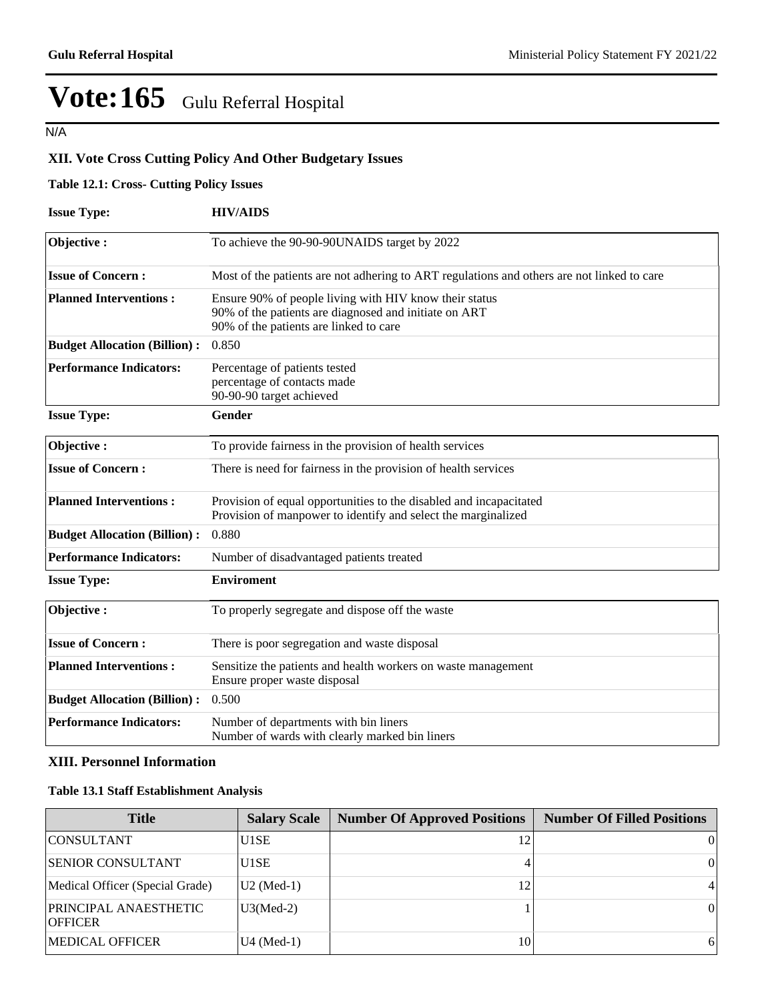N/A

## **XII. Vote Cross Cutting Policy And Other Budgetary Issues**

## **Table 12.1: Cross- Cutting Policy Issues**

| <b>Issue Type:</b>                                                                                                                                                   | <b>HIV/AIDS</b>                                                                                                                                           |  |  |  |  |  |
|----------------------------------------------------------------------------------------------------------------------------------------------------------------------|-----------------------------------------------------------------------------------------------------------------------------------------------------------|--|--|--|--|--|
| Objective:                                                                                                                                                           | To achieve the 90-90-90UNAIDS target by 2022                                                                                                              |  |  |  |  |  |
| <b>Issue of Concern:</b>                                                                                                                                             | Most of the patients are not adhering to ART regulations and others are not linked to care                                                                |  |  |  |  |  |
| <b>Planned Interventions:</b>                                                                                                                                        | Ensure 90% of people living with HIV know their status<br>90% of the patients are diagnosed and initiate on ART<br>90% of the patients are linked to care |  |  |  |  |  |
| <b>Budget Allocation (Billion):</b>                                                                                                                                  | 0.850                                                                                                                                                     |  |  |  |  |  |
| <b>Performance Indicators:</b><br>Percentage of patients tested<br>percentage of contacts made<br>90-90-90 target achieved                                           |                                                                                                                                                           |  |  |  |  |  |
| <b>Issue Type:</b>                                                                                                                                                   | <b>Gender</b>                                                                                                                                             |  |  |  |  |  |
| Objective:                                                                                                                                                           | To provide fairness in the provision of health services                                                                                                   |  |  |  |  |  |
| <b>Issue of Concern:</b>                                                                                                                                             | There is need for fairness in the provision of health services                                                                                            |  |  |  |  |  |
| <b>Planned Interventions:</b><br>Provision of equal opportunities to the disabled and incapacitated<br>Provision of manpower to identify and select the marginalized |                                                                                                                                                           |  |  |  |  |  |
| <b>Budget Allocation (Billion):</b>                                                                                                                                  | 0.880                                                                                                                                                     |  |  |  |  |  |
| <b>Performance Indicators:</b>                                                                                                                                       | Number of disadvantaged patients treated                                                                                                                  |  |  |  |  |  |
| <b>Issue Type:</b>                                                                                                                                                   | <b>Enviroment</b>                                                                                                                                         |  |  |  |  |  |
| Objective:                                                                                                                                                           | To properly segregate and dispose off the waste                                                                                                           |  |  |  |  |  |
| <b>Issue of Concern:</b>                                                                                                                                             | There is poor segregation and waste disposal                                                                                                              |  |  |  |  |  |
| <b>Planned Interventions:</b>                                                                                                                                        | Sensitize the patients and health workers on waste management<br>Ensure proper waste disposal                                                             |  |  |  |  |  |
| <b>Budget Allocation (Billion):</b>                                                                                                                                  | 0.500                                                                                                                                                     |  |  |  |  |  |
| <b>Performance Indicators:</b>                                                                                                                                       | Number of departments with bin liners<br>Number of wards with clearly marked bin liners                                                                   |  |  |  |  |  |

## **XIII. Personnel Information**

### **Table 13.1 Staff Establishment Analysis**

| <b>Title</b>                                   | <b>Salary Scale</b>    | <b>Number Of Approved Positions</b> | <b>Number Of Filled Positions</b> |
|------------------------------------------------|------------------------|-------------------------------------|-----------------------------------|
| <b>CONSULTANT</b>                              | U1SE                   |                                     |                                   |
| <b>SENIOR CONSULTANT</b>                       | U1SE                   |                                     | 01                                |
| Medical Officer (Special Grade)                | $ U2 \text{ (Med-1)} $ | 12                                  | $\overline{4}$                    |
| <b>PRINCIPAL ANAESTHETIC</b><br><b>OFFICER</b> | $U3(Med-2)$            |                                     |                                   |
| <b>MEDICAL OFFICER</b>                         | U4 (Med-1)             | 10                                  | 61                                |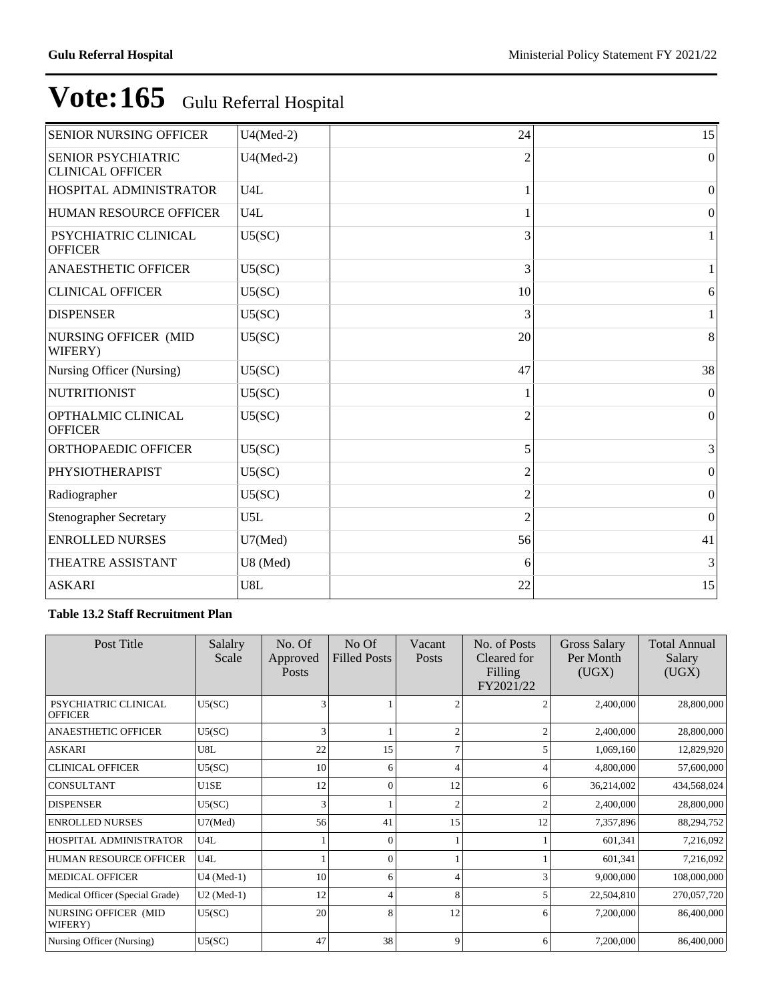| <b>SENIOR NURSING OFFICER</b>                 | $U4(Med-2)$      | 24             | 15               |
|-----------------------------------------------|------------------|----------------|------------------|
| SENIOR PSYCHIATRIC<br><b>CLINICAL OFFICER</b> | $U4(Med-2)$      | $\overline{2}$ | $\Omega$         |
| HOSPITAL ADMINISTRATOR                        | U4L              |                | $\Omega$         |
| HUMAN RESOURCE OFFICER                        | U <sub>4</sub> L |                | $\boldsymbol{0}$ |
| PSYCHIATRIC CLINICAL<br><b>OFFICER</b>        | U5(SC)           | 3              |                  |
| <b>ANAESTHETIC OFFICER</b>                    | U5(SC)           | 3              |                  |
| <b>CLINICAL OFFICER</b>                       | U5(SC)           | 10             | 6                |
| <b>DISPENSER</b>                              | U5(SC)           | 3              |                  |
| NURSING OFFICER (MID<br>WIFERY)               | U5(SC)           | 20             | 8                |
| Nursing Officer (Nursing)                     | U5(SC)           | 47             | 38               |
| <b>NUTRITIONIST</b>                           | U5(SC)           |                | $\Omega$         |
| OPTHALMIC CLINICAL<br><b>OFFICER</b>          | U5(SC)           | $\overline{c}$ | $\Omega$         |
| ORTHOPAEDIC OFFICER                           | U5(SC)           | 5              | 3                |
| <b>PHYSIOTHERAPIST</b>                        | U5(SC)           | $\overline{c}$ | $\mathbf{0}$     |
| Radiographer                                  | U5(SC)           | 2              | $\mathbf{0}$     |
| <b>Stenographer Secretary</b>                 | U5L              | $\overline{c}$ | $\mathbf{0}$     |
| <b>ENROLLED NURSES</b>                        | $U7$ (Med)       | 56             | 41               |
| THEATRE ASSISTANT                             | U8 (Med)         | 6              | 3                |
| <b>ASKARI</b>                                 | U8L              | 22             | 15               |

## **Table 13.2 Staff Recruitment Plan**

| Post Title                             | <b>Salalry</b><br>Scale | No. Of<br>Approved<br>Posts | No Of<br><b>Filled Posts</b> | Vacant<br><b>Posts</b> | No. of Posts<br>Cleared for<br>Filling<br>FY2021/22 | Gross Salary<br>Per Month<br>(UGX) | <b>Total Annual</b><br>Salary<br>(UGX) |
|----------------------------------------|-------------------------|-----------------------------|------------------------------|------------------------|-----------------------------------------------------|------------------------------------|----------------------------------------|
| PSYCHIATRIC CLINICAL<br><b>OFFICER</b> | U5(SC)                  | 3                           |                              | ◠                      |                                                     | 2,400,000                          | 28,800,000                             |
| <b>ANAESTHETIC OFFICER</b>             | U5(SC)                  | 3                           |                              | $\mathcal{L}$          |                                                     | 2,400,000                          | 28,800,000                             |
| ASKARI                                 | U8L                     | 22                          | 15                           |                        |                                                     | 1,069,160                          | 12,829,920                             |
| <b>CLINICAL OFFICER</b>                | U5(SC)                  | 10                          | 6                            | 4                      |                                                     | 4,800,000                          | 57,600,000                             |
| <b>CONSULTANT</b>                      | U1SE                    | 12                          | $\theta$                     | 12                     | 6                                                   | 36,214,002                         | 434,568,024                            |
| <b>DISPENSER</b>                       | U5(SC)                  | 3                           |                              | $\overline{c}$         |                                                     | 2,400,000                          | 28,800,000                             |
| <b>ENROLLED NURSES</b>                 | $U7$ (Med)              | 56                          | 41                           | 15                     | 12                                                  | 7,357,896                          | 88,294,752                             |
| HOSPITAL ADMINISTRATOR                 | U4L                     |                             | $\Omega$                     |                        |                                                     | 601,341                            | 7,216,092                              |
| <b>HUMAN RESOURCE OFFICER</b>          | U4L                     |                             |                              |                        |                                                     | 601,341                            | 7,216,092                              |
| <b>MEDICAL OFFICER</b>                 | $U4$ (Med-1)            | 10                          | 6                            | 4                      |                                                     | 9,000,000                          | 108,000,000                            |
| Medical Officer (Special Grade)        | $U2$ (Med-1)            | 12                          |                              | 8                      |                                                     | 22,504,810                         | 270,057,720                            |
| NURSING OFFICER (MID<br>WIFERY)        | U5(SC)                  | 20                          | 8                            | 12                     | 6                                                   | 7,200,000                          | 86,400,000                             |
| Nursing Officer (Nursing)              | U5(SC)                  | 47                          | 38                           | 9                      | 6                                                   | 7,200,000                          | 86,400,000                             |